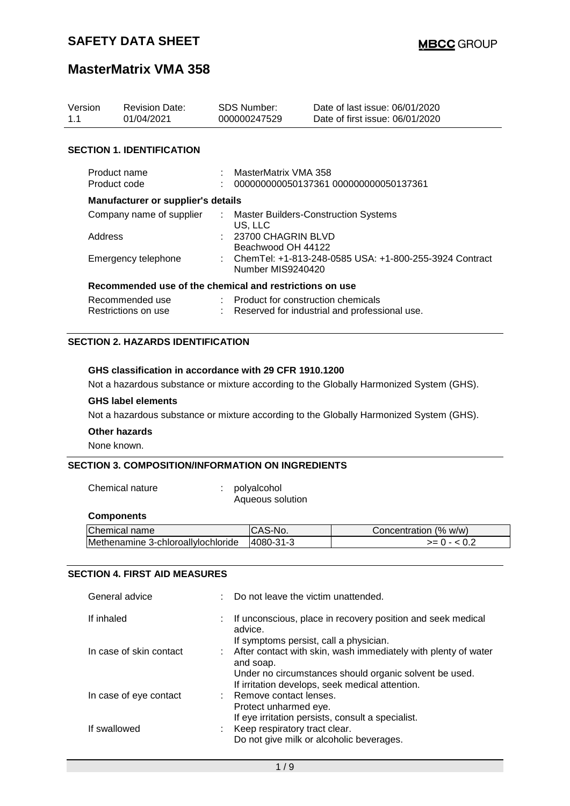| Version<br>1.1      | <b>Revision Date:</b><br>01/04/2021                     | <b>SDS Number:</b><br>000000247529                                            | Date of last issue: 06/01/2020<br>Date of first issue: 06/01/2020 |  |
|---------------------|---------------------------------------------------------|-------------------------------------------------------------------------------|-------------------------------------------------------------------|--|
|                     | <b>SECTION 1. IDENTIFICATION</b>                        |                                                                               |                                                                   |  |
|                     | Product name<br>Product code                            | MasterMatrix VMA 358                                                          | 000000000050137361 000000000050137361                             |  |
|                     | Manufacturer or supplier's details                      |                                                                               |                                                                   |  |
|                     | Company name of supplier                                | US, LLC                                                                       | : Master Builders-Construction Systems                            |  |
| Address             |                                                         | : 23700 CHAGRIN BLVD<br>Beachwood OH 44122                                    |                                                                   |  |
| Emergency telephone |                                                         | : ChemTel: +1-813-248-0585 USA: +1-800-255-3924 Contract<br>Number MIS9240420 |                                                                   |  |
|                     | Recommended use of the chemical and restrictions on use |                                                                               |                                                                   |  |
|                     | Recommended use                                         | : Product for construction chemicals                                          |                                                                   |  |
|                     | Restrictions on use                                     |                                                                               | Reserved for industrial and professional use.                     |  |

### **SECTION 2. HAZARDS IDENTIFICATION**

### **GHS classification in accordance with 29 CFR 1910.1200**

Not a hazardous substance or mixture according to the Globally Harmonized System (GHS).

### **GHS label elements**

Not a hazardous substance or mixture according to the Globally Harmonized System (GHS).

# **Other hazards**

None known.

### **SECTION 3. COMPOSITION/INFORMATION ON INGREDIENTS**

Chemical nature : polyalcohol

Aqueous solution

#### **Components**

| Chemical name                      | ICAS-No.  | Concentration (% w/w) |
|------------------------------------|-----------|-----------------------|
| Methenamine 3-chloroallylochloride | 4080-31-3 | $>= 0 - 0.2$          |
|                                    |           |                       |

### **SECTION 4. FIRST AID MEASURES**

| General advice          | : Do not leave the victim unattended.                                                                                                                                                      |
|-------------------------|--------------------------------------------------------------------------------------------------------------------------------------------------------------------------------------------|
| If inhaled              | : If unconscious, place in recovery position and seek medical<br>advice.<br>If symptoms persist, call a physician.                                                                         |
| In case of skin contact | : After contact with skin, wash immediately with plenty of water<br>and soap.<br>Under no circumstances should organic solvent be used.<br>If irritation develops, seek medical attention. |
| In case of eye contact  | : Remove contact lenses.<br>Protect unharmed eye.<br>If eye irritation persists, consult a specialist.                                                                                     |
| If swallowed            | : Keep respiratory tract clear.<br>Do not give milk or alcoholic beverages.                                                                                                                |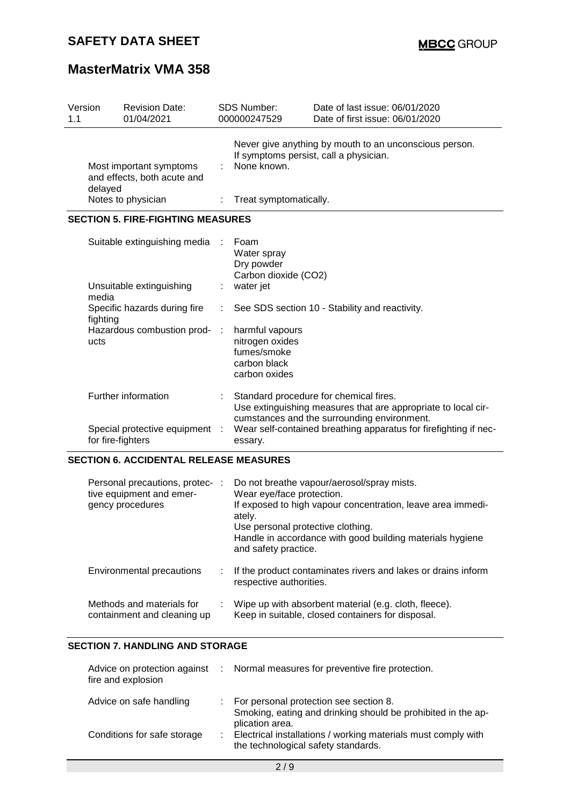| Version<br>1.1                                         | <b>Revision Date:</b><br>01/04/2021                 |              | <b>SDS Number:</b><br>000000247529                                                                              | Date of last issue: 06/01/2020<br>Date of first issue: 06/01/2020                                                                                      |  |  |
|--------------------------------------------------------|-----------------------------------------------------|--------------|-----------------------------------------------------------------------------------------------------------------|--------------------------------------------------------------------------------------------------------------------------------------------------------|--|--|
| Most important symptoms<br>and effects, both acute and |                                                     |              | Never give anything by mouth to an unconscious person.<br>If symptoms persist, call a physician.<br>None known. |                                                                                                                                                        |  |  |
|                                                        | delayed<br>Notes to physician                       |              | Treat symptomatically.                                                                                          |                                                                                                                                                        |  |  |
|                                                        | <b>SECTION 5. FIRE-FIGHTING MEASURES</b>            |              |                                                                                                                 |                                                                                                                                                        |  |  |
|                                                        | Suitable extinguishing media                        |              | Foam<br>Water spray<br>Dry powder<br>Carbon dioxide (CO2)                                                       |                                                                                                                                                        |  |  |
|                                                        | Unsuitable extinguishing<br>media                   |              | water jet                                                                                                       |                                                                                                                                                        |  |  |
|                                                        | Specific hazards during fire<br>fighting            |              |                                                                                                                 | See SDS section 10 - Stability and reactivity.                                                                                                         |  |  |
|                                                        | Hazardous combustion prod-<br>ucts                  | $\mathbf{r}$ | harmful vapours<br>nitrogen oxides<br>fumes/smoke<br>carbon black<br>carbon oxides                              |                                                                                                                                                        |  |  |
|                                                        | Further information                                 |              |                                                                                                                 | Standard procedure for chemical fires.<br>Use extinguishing measures that are appropriate to local cir-<br>cumstances and the surrounding environment. |  |  |
|                                                        | Special protective equipment :<br>for fire-fighters |              | essary.                                                                                                         | Wear self-contained breathing apparatus for firefighting if nec-                                                                                       |  |  |
|                                                        | <b>SECTION 6. ACCIDENTAL RELEASE MEASURES</b>       |              |                                                                                                                 |                                                                                                                                                        |  |  |

| Personal precautions, protec-<br>tive equipment and emer-<br>gency procedures | ÷ | Do not breathe vapour/aerosol/spray mists.<br>Wear eye/face protection.<br>If exposed to high vapour concentration, leave area immedi-<br>ately.<br>Use personal protective clothing.<br>Handle in accordance with good building materials hygiene<br>and safety practice. |
|-------------------------------------------------------------------------------|---|----------------------------------------------------------------------------------------------------------------------------------------------------------------------------------------------------------------------------------------------------------------------------|
| Environmental precautions                                                     |   | If the product contaminates rivers and lakes or drains inform<br>respective authorities.                                                                                                                                                                                   |
| Methods and materials for<br>containment and cleaning up                      |   | Wipe up with absorbent material (e.g. cloth, fleece).<br>Keep in suitable, closed containers for disposal.                                                                                                                                                                 |

### **SECTION 7. HANDLING AND STORAGE**

| fire and explosion          | Advice on protection against : Normal measures for preventive fire protection.                                              |
|-----------------------------|-----------------------------------------------------------------------------------------------------------------------------|
| Advice on safe handling     | : For personal protection see section 8.<br>Smoking, eating and drinking should be prohibited in the ap-<br>plication area. |
| Conditions for safe storage | Electrical installations / working materials must comply with<br>the technological safety standards.                        |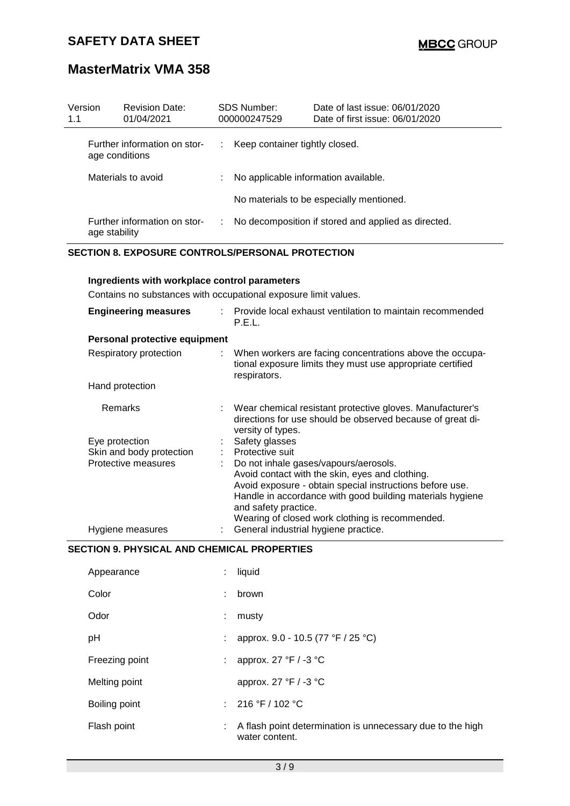| Version<br>1.1 | <b>Revision Date:</b><br>01/04/2021            |   | <b>SDS Number:</b><br>000000247529   | Date of last issue: 06/01/2020<br>Date of first issue: 06/01/2020 |
|----------------|------------------------------------------------|---|--------------------------------------|-------------------------------------------------------------------|
|                | Further information on stor-<br>age conditions |   | Keep container tightly closed.       |                                                                   |
|                | Materials to avoid                             |   | No applicable information available. |                                                                   |
|                |                                                |   |                                      | No materials to be especially mentioned.                          |
|                | Further information on stor-<br>age stability  | ÷ |                                      | No decomposition if stored and applied as directed.               |

### **SECTION 8. EXPOSURE CONTROLS/PERSONAL PROTECTION**

### **Ingredients with workplace control parameters**

Contains no substances with occupational exposure limit values.

| <b>Engineering measures</b>   | Provide local exhaust ventilation to maintain recommended<br>P.E.L.                                                                                                                                                                                                                          |
|-------------------------------|----------------------------------------------------------------------------------------------------------------------------------------------------------------------------------------------------------------------------------------------------------------------------------------------|
| Personal protective equipment |                                                                                                                                                                                                                                                                                              |
| Respiratory protection        | : When workers are facing concentrations above the occupa-<br>tional exposure limits they must use appropriate certified<br>respirators.                                                                                                                                                     |
| Hand protection               |                                                                                                                                                                                                                                                                                              |
| <b>Remarks</b>                | : Wear chemical resistant protective gloves. Manufacturer's<br>directions for use should be observed because of great di-<br>versity of types.                                                                                                                                               |
| Eye protection                | Safety glasses                                                                                                                                                                                                                                                                               |
| Skin and body protection      | Protective suit                                                                                                                                                                                                                                                                              |
| Protective measures           | Do not inhale gases/vapours/aerosols.<br>Avoid contact with the skin, eyes and clothing.<br>Avoid exposure - obtain special instructions before use.<br>Handle in accordance with good building materials hygiene<br>and safety practice.<br>Wearing of closed work clothing is recommended. |
| Hygiene measures              | General industrial hygiene practice.                                                                                                                                                                                                                                                         |

### **SECTION 9. PHYSICAL AND CHEMICAL PROPERTIES**

| Appearance     |    | liquid                                                                       |
|----------------|----|------------------------------------------------------------------------------|
| Color          | ٠. | brown                                                                        |
| Odor           | ÷  | musty                                                                        |
| рH             |    | approx. 9.0 - 10.5 (77 °F / 25 °C)                                           |
| Freezing point |    | approx. 27 °F / -3 °C                                                        |
| Melting point  |    | approx. 27 °F / -3 °C                                                        |
| Boiling point  |    | : $216 °F / 102 °C$                                                          |
| Flash point    |    | A flash point determination is unnecessary due to the high<br>water content. |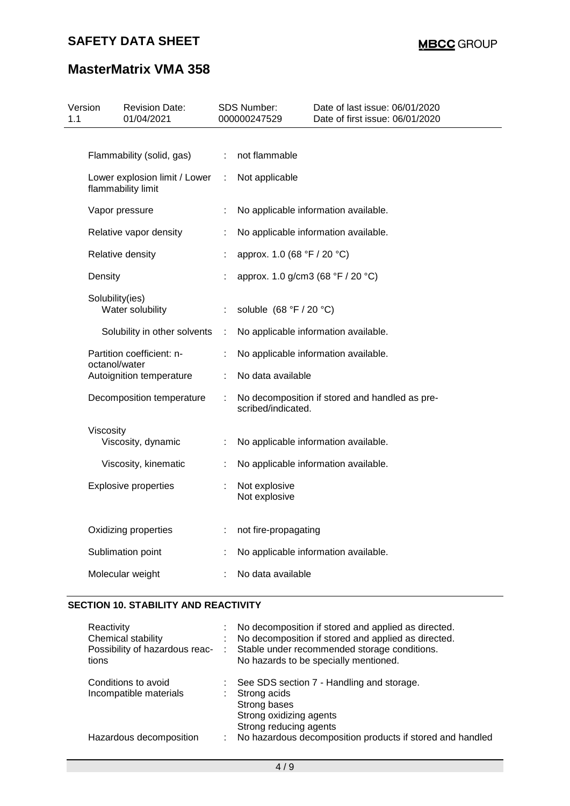# **MasterMatrix VMA 358**

| 1.1 | Version                | <b>Revision Date:</b><br>01/04/2021                 |    | SDS Number:<br>000000247529       | Date of last issue: 06/01/2020<br>Date of first issue: 06/01/2020 |
|-----|------------------------|-----------------------------------------------------|----|-----------------------------------|-------------------------------------------------------------------|
|     |                        |                                                     |    |                                   |                                                                   |
|     |                        | Flammability (solid, gas)                           | ÷  | not flammable                     |                                                                   |
|     |                        | Lower explosion limit / Lower<br>flammability limit | ÷. | Not applicable                    |                                                                   |
|     |                        | Vapor pressure                                      | ÷  |                                   | No applicable information available.                              |
|     | Relative vapor density |                                                     |    |                                   | No applicable information available.                              |
|     |                        | Relative density                                    |    | approx. 1.0 (68 °F / 20 °C)       |                                                                   |
|     | Density                |                                                     |    | approx. 1.0 g/cm3 (68 °F / 20 °C) |                                                                   |
|     | Solubility(ies)        | Water solubility                                    | ÷  | soluble $(68 °F / 20 °C)$         |                                                                   |
|     |                        | Solubility in other solvents                        | ÷  |                                   | No applicable information available.                              |
|     | octanol/water          | Partition coefficient: n-                           | ÷  |                                   | No applicable information available.                              |
|     |                        | Autoignition temperature                            |    | No data available                 |                                                                   |
|     |                        | Decomposition temperature                           | ÷  | scribed/indicated.                | No decomposition if stored and handled as pre-                    |
|     | Viscosity              | Viscosity, dynamic                                  | ÷  |                                   | No applicable information available.                              |
|     |                        | Viscosity, kinematic                                | ÷  |                                   | No applicable information available.                              |
|     |                        | <b>Explosive properties</b>                         |    | Not explosive<br>Not explosive    |                                                                   |
|     |                        | Oxidizing properties                                | ÷  | not fire-propagating              |                                                                   |
|     |                        | Sublimation point                                   |    |                                   | No applicable information available.                              |
|     |                        | Molecular weight                                    |    | No data available                 |                                                                   |
|     |                        |                                                     |    |                                   |                                                                   |

### **SECTION 10. STABILITY AND REACTIVITY**

| Reactivity<br>Chemical stability<br>Possibility of hazardous reac-<br>tions |    | No decomposition if stored and applied as directed.<br>No decomposition if stored and applied as directed.<br>Stable under recommended storage conditions.<br>No hazards to be specially mentioned. |
|-----------------------------------------------------------------------------|----|-----------------------------------------------------------------------------------------------------------------------------------------------------------------------------------------------------|
| Conditions to avoid<br>Incompatible materials                               | ÷. | : See SDS section 7 - Handling and storage.<br>Strong acids<br>Strong bases<br>Strong oxidizing agents<br>Strong reducing agents                                                                    |
| Hazardous decomposition                                                     |    | No hazardous decomposition products if stored and handled                                                                                                                                           |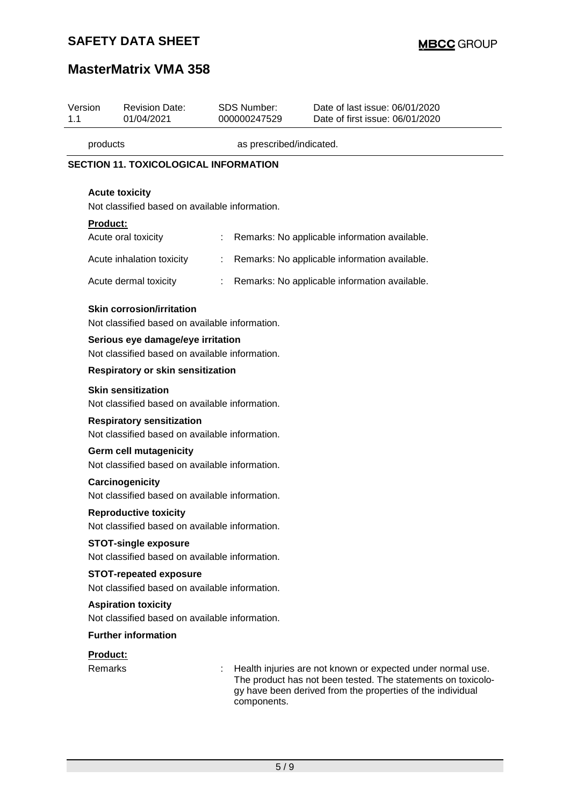# **MasterMatrix VMA 358**

| Version<br>1.1  | <b>Revision Date:</b><br>01/04/2021                                                 | <b>SDS Number:</b><br>000000247529             | Date of last issue: 06/01/2020<br>Date of first issue: 06/01/2020                                                                                                                         |  |  |  |  |
|-----------------|-------------------------------------------------------------------------------------|------------------------------------------------|-------------------------------------------------------------------------------------------------------------------------------------------------------------------------------------------|--|--|--|--|
| products        |                                                                                     | as prescribed/indicated.                       |                                                                                                                                                                                           |  |  |  |  |
|                 | <b>SECTION 11. TOXICOLOGICAL INFORMATION</b>                                        |                                                |                                                                                                                                                                                           |  |  |  |  |
|                 | <b>Acute toxicity</b><br>Not classified based on available information.             |                                                |                                                                                                                                                                                           |  |  |  |  |
| <b>Product:</b> |                                                                                     |                                                |                                                                                                                                                                                           |  |  |  |  |
|                 | Acute oral toxicity                                                                 |                                                | Remarks: No applicable information available.                                                                                                                                             |  |  |  |  |
|                 | Acute inhalation toxicity                                                           |                                                | Remarks: No applicable information available.                                                                                                                                             |  |  |  |  |
|                 | Acute dermal toxicity                                                               |                                                | Remarks: No applicable information available.                                                                                                                                             |  |  |  |  |
|                 | <b>Skin corrosion/irritation</b><br>Not classified based on available information.  |                                                |                                                                                                                                                                                           |  |  |  |  |
|                 | Serious eye damage/eye irritation<br>Not classified based on available information. |                                                |                                                                                                                                                                                           |  |  |  |  |
|                 | <b>Respiratory or skin sensitization</b>                                            |                                                |                                                                                                                                                                                           |  |  |  |  |
|                 | <b>Skin sensitization</b><br>Not classified based on available information.         |                                                |                                                                                                                                                                                           |  |  |  |  |
|                 | <b>Respiratory sensitization</b><br>Not classified based on available information.  |                                                |                                                                                                                                                                                           |  |  |  |  |
|                 | Germ cell mutagenicity<br>Not classified based on available information.            |                                                |                                                                                                                                                                                           |  |  |  |  |
|                 | Carcinogenicity                                                                     | Not classified based on available information. |                                                                                                                                                                                           |  |  |  |  |
|                 | <b>Reproductive toxicity</b><br>Not classified based on available information.      |                                                |                                                                                                                                                                                           |  |  |  |  |
|                 | <b>STOT-single exposure</b><br>Not classified based on available information.       |                                                |                                                                                                                                                                                           |  |  |  |  |
|                 | <b>STOT-repeated exposure</b><br>Not classified based on available information.     |                                                |                                                                                                                                                                                           |  |  |  |  |
|                 | <b>Aspiration toxicity</b><br>Not classified based on available information.        |                                                |                                                                                                                                                                                           |  |  |  |  |
|                 | <b>Further information</b>                                                          |                                                |                                                                                                                                                                                           |  |  |  |  |
| Product:        |                                                                                     |                                                |                                                                                                                                                                                           |  |  |  |  |
| <b>Remarks</b>  |                                                                                     | components.                                    | Health injuries are not known or expected under normal use.<br>The product has not been tested. The statements on toxicolo-<br>gy have been derived from the properties of the individual |  |  |  |  |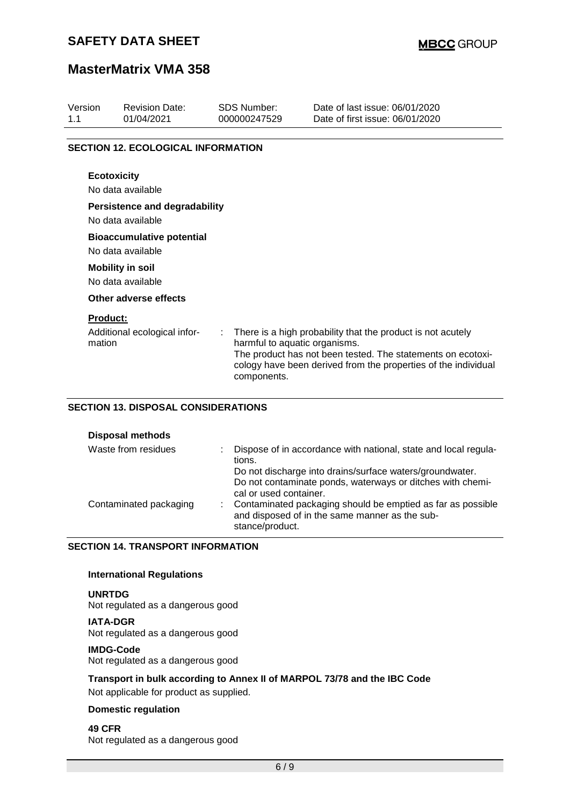## **MasterMatrix VMA 358**

| Version<br>1.1 | <b>Revision Date:</b><br>01/04/2021                       | <b>SDS Number:</b><br>000000247529           | Date of last issue: 06/01/2020<br>Date of first issue: 06/01/2020                                                                                                                            |
|----------------|-----------------------------------------------------------|----------------------------------------------|----------------------------------------------------------------------------------------------------------------------------------------------------------------------------------------------|
|                | <b>SECTION 12. ECOLOGICAL INFORMATION</b>                 |                                              |                                                                                                                                                                                              |
|                | <b>Ecotoxicity</b><br>No data available                   |                                              |                                                                                                                                                                                              |
|                | <b>Persistence and degradability</b><br>No data available |                                              |                                                                                                                                                                                              |
|                | <b>Bioaccumulative potential</b><br>No data available     |                                              |                                                                                                                                                                                              |
|                | <b>Mobility in soil</b><br>No data available              |                                              |                                                                                                                                                                                              |
|                | Other adverse effects                                     |                                              |                                                                                                                                                                                              |
|                | <b>Product:</b><br>Additional ecological infor-<br>mation | harmful to aquatic organisms.<br>components. | There is a high probability that the product is not acutely<br>The product has not been tested. The statements on ecotoxi-<br>cology have been derived from the properties of the individual |

### **SECTION 13. DISPOSAL CONSIDERATIONS**

| <b>Disposal methods</b> |  |
|-------------------------|--|
|-------------------------|--|

| Waste from residues    |  | Dispose of in accordance with national, state and local regula-<br>tions.<br>Do not discharge into drains/surface waters/groundwater.                                                                                      |
|------------------------|--|----------------------------------------------------------------------------------------------------------------------------------------------------------------------------------------------------------------------------|
| Contaminated packaging |  | Do not contaminate ponds, waterways or ditches with chemi-<br>cal or used container.<br>: Contaminated packaging should be emptied as far as possible<br>and disposed of in the same manner as the sub-<br>stance/product. |

### **SECTION 14. TRANSPORT INFORMATION**

### **International Regulations**

**UNRTDG** Not regulated as a dangerous good

**IATA-DGR**

Not regulated as a dangerous good

#### **IMDG-Code**

Not regulated as a dangerous good

### **Transport in bulk according to Annex II of MARPOL 73/78 and the IBC Code**

Not applicable for product as supplied.

### **Domestic regulation**

**49 CFR** Not regulated as a dangerous good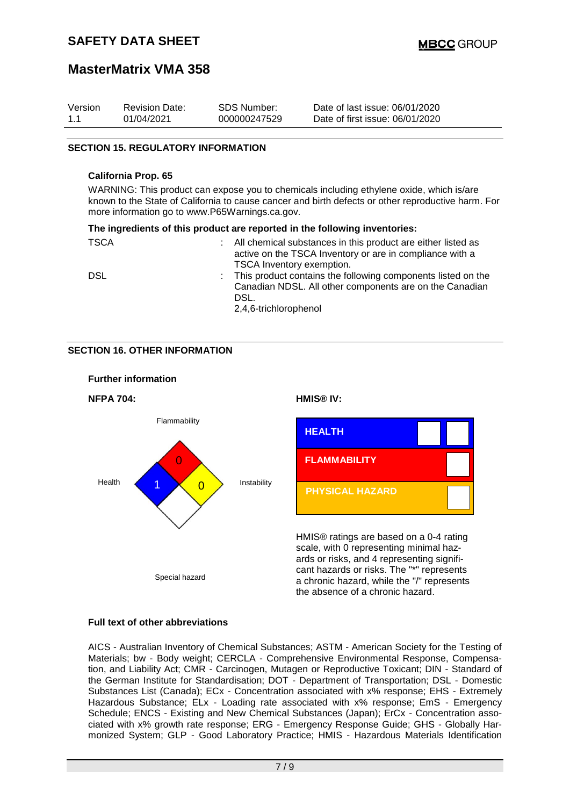## **MasterMatrix VMA 358**

| Version | <b>Revision Date:</b> | SDS Number:  | Date of last issue: 06/01/2020  |
|---------|-----------------------|--------------|---------------------------------|
| 1.1     | 01/04/2021            | 000000247529 | Date of first issue: 06/01/2020 |

### **SECTION 15. REGULATORY INFORMATION**

#### **California Prop. 65**

WARNING: This product can expose you to chemicals including ethylene oxide, which is/are known to the State of California to cause cancer and birth defects or other reproductive harm. For more information go to www.P65Warnings.ca.gov.

|             | The ingredients of this product are reported in the following inventories:                                                                                 |
|-------------|------------------------------------------------------------------------------------------------------------------------------------------------------------|
| <b>TSCA</b> | All chemical substances in this product are either listed as<br>active on the TSCA Inventory or are in compliance with a<br>TSCA Inventory exemption.      |
| <b>DSL</b>  | : This product contains the following components listed on the<br>Canadian NDSL. All other components are on the Canadian<br>DSL.<br>2,4,6-trichlorophenol |

### **SECTION 16. OTHER INFORMATION**



### **Full text of other abbreviations**

AICS - Australian Inventory of Chemical Substances; ASTM - American Society for the Testing of Materials; bw - Body weight; CERCLA - Comprehensive Environmental Response, Compensation, and Liability Act; CMR - Carcinogen, Mutagen or Reproductive Toxicant; DIN - Standard of the German Institute for Standardisation; DOT - Department of Transportation; DSL - Domestic Substances List (Canada); ECx - Concentration associated with x% response; EHS - Extremely Hazardous Substance; ELx - Loading rate associated with x% response; EmS - Emergency Schedule; ENCS - Existing and New Chemical Substances (Japan); ErCx - Concentration associated with x% growth rate response; ERG - Emergency Response Guide; GHS - Globally Harmonized System; GLP - Good Laboratory Practice; HMIS - Hazardous Materials Identification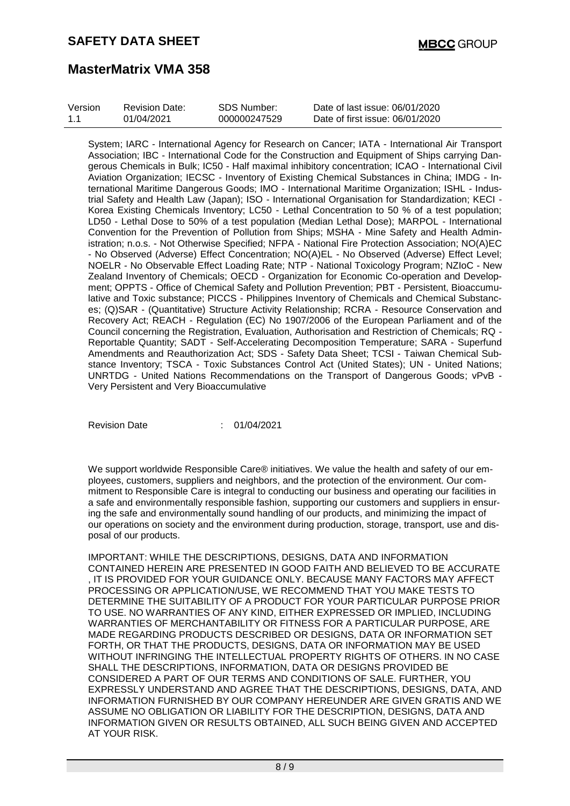| Version | <b>Revision Date:</b> | SDS Number:  | Date of last issue: 06/01/2020  |
|---------|-----------------------|--------------|---------------------------------|
| 1.1     | 01/04/2021            | 000000247529 | Date of first issue: 06/01/2020 |

System; IARC - International Agency for Research on Cancer; IATA - International Air Transport Association; IBC - International Code for the Construction and Equipment of Ships carrying Dangerous Chemicals in Bulk; IC50 - Half maximal inhibitory concentration; ICAO - International Civil Aviation Organization; IECSC - Inventory of Existing Chemical Substances in China; IMDG - International Maritime Dangerous Goods; IMO - International Maritime Organization; ISHL - Industrial Safety and Health Law (Japan); ISO - International Organisation for Standardization; KECI - Korea Existing Chemicals Inventory; LC50 - Lethal Concentration to 50 % of a test population; LD50 - Lethal Dose to 50% of a test population (Median Lethal Dose); MARPOL - International Convention for the Prevention of Pollution from Ships; MSHA - Mine Safety and Health Administration; n.o.s. - Not Otherwise Specified; NFPA - National Fire Protection Association; NO(A)EC - No Observed (Adverse) Effect Concentration; NO(A)EL - No Observed (Adverse) Effect Level; NOELR - No Observable Effect Loading Rate; NTP - National Toxicology Program; NZIoC - New Zealand Inventory of Chemicals; OECD - Organization for Economic Co-operation and Development; OPPTS - Office of Chemical Safety and Pollution Prevention; PBT - Persistent, Bioaccumulative and Toxic substance; PICCS - Philippines Inventory of Chemicals and Chemical Substances; (Q)SAR - (Quantitative) Structure Activity Relationship; RCRA - Resource Conservation and Recovery Act; REACH - Regulation (EC) No 1907/2006 of the European Parliament and of the Council concerning the Registration, Evaluation, Authorisation and Restriction of Chemicals; RQ - Reportable Quantity; SADT - Self-Accelerating Decomposition Temperature; SARA - Superfund Amendments and Reauthorization Act; SDS - Safety Data Sheet; TCSI - Taiwan Chemical Substance Inventory; TSCA - Toxic Substances Control Act (United States); UN - United Nations; UNRTDG - United Nations Recommendations on the Transport of Dangerous Goods; vPvB - Very Persistent and Very Bioaccumulative

Revision Date : 01/04/2021

We support worldwide Responsible Care® initiatives. We value the health and safety of our employees, customers, suppliers and neighbors, and the protection of the environment. Our commitment to Responsible Care is integral to conducting our business and operating our facilities in a safe and environmentally responsible fashion, supporting our customers and suppliers in ensuring the safe and environmentally sound handling of our products, and minimizing the impact of our operations on society and the environment during production, storage, transport, use and disposal of our products.

IMPORTANT: WHILE THE DESCRIPTIONS, DESIGNS, DATA AND INFORMATION CONTAINED HEREIN ARE PRESENTED IN GOOD FAITH AND BELIEVED TO BE ACCURATE , IT IS PROVIDED FOR YOUR GUIDANCE ONLY. BECAUSE MANY FACTORS MAY AFFECT PROCESSING OR APPLICATION/USE, WE RECOMMEND THAT YOU MAKE TESTS TO DETERMINE THE SUITABILITY OF A PRODUCT FOR YOUR PARTICULAR PURPOSE PRIOR TO USE. NO WARRANTIES OF ANY KIND, EITHER EXPRESSED OR IMPLIED, INCLUDING WARRANTIES OF MERCHANTABILITY OR FITNESS FOR A PARTICULAR PURPOSE, ARE MADE REGARDING PRODUCTS DESCRIBED OR DESIGNS, DATA OR INFORMATION SET FORTH, OR THAT THE PRODUCTS, DESIGNS, DATA OR INFORMATION MAY BE USED WITHOUT INFRINGING THE INTELLECTUAL PROPERTY RIGHTS OF OTHERS. IN NO CASE SHALL THE DESCRIPTIONS, INFORMATION, DATA OR DESIGNS PROVIDED BE CONSIDERED A PART OF OUR TERMS AND CONDITIONS OF SALE. FURTHER, YOU EXPRESSLY UNDERSTAND AND AGREE THAT THE DESCRIPTIONS, DESIGNS, DATA, AND INFORMATION FURNISHED BY OUR COMPANY HEREUNDER ARE GIVEN GRATIS AND WE ASSUME NO OBLIGATION OR LIABILITY FOR THE DESCRIPTION, DESIGNS, DATA AND INFORMATION GIVEN OR RESULTS OBTAINED, ALL SUCH BEING GIVEN AND ACCEPTED AT YOUR RISK.